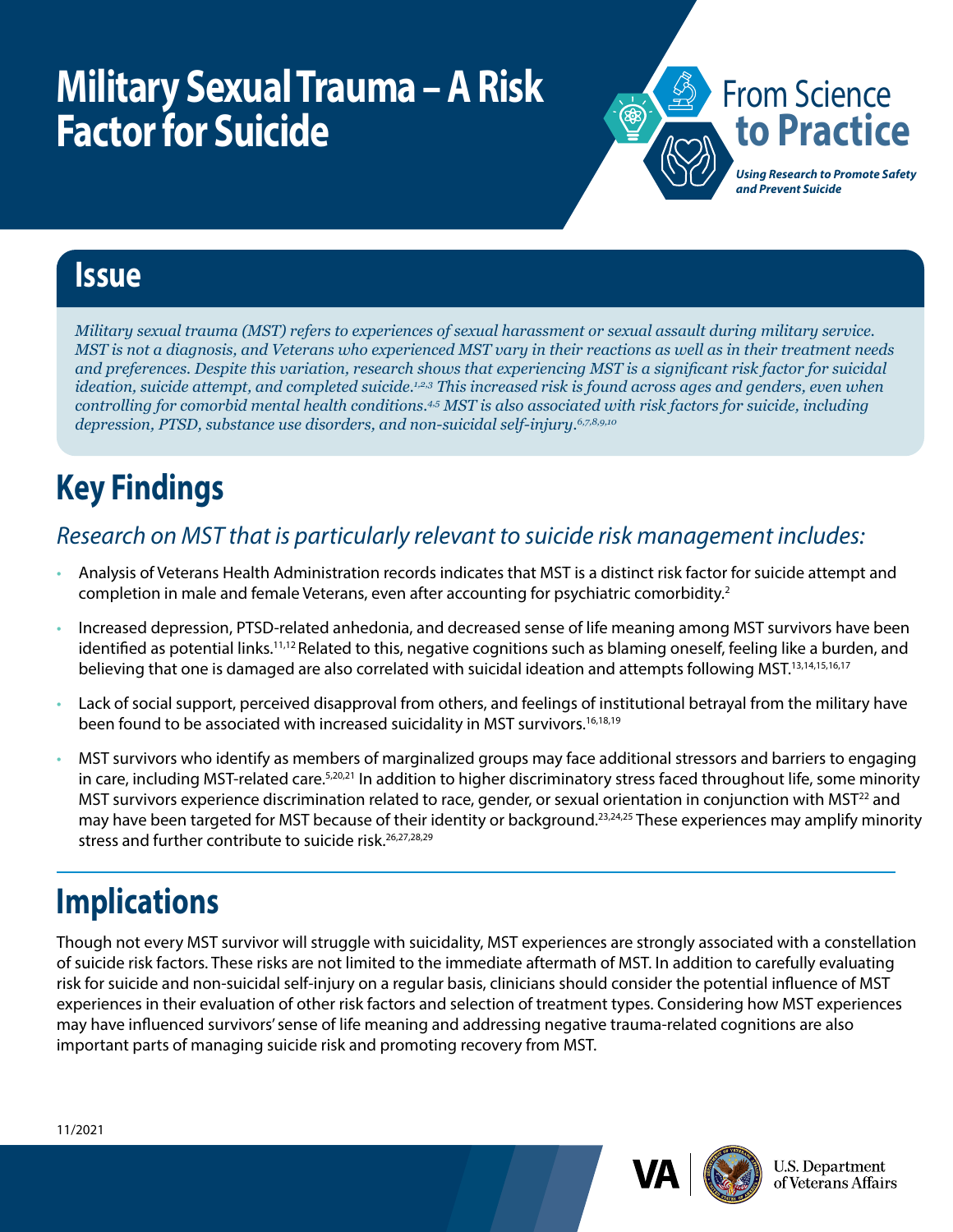# **Military Sexual Trauma – A Risk Factor for Suicide**



### **Issue**

*Military sexual trauma (MST) refers to experiences of sexual harassment or sexual assault during military service. MST is not a diagnosis, and Veterans who experienced MST vary in their reactions as well as in their treatment needs and preferences. Despite this variation, research shows that experiencing MST is a significant risk factor for suicidal ideation, suicide attempt, and completed suicide.1,2,3 This increased risk is found across ages and genders, even when controlling for comorbid mental health conditions.4,5 MST is also associated with risk factors for suicide, including depression, PTSD, substance use disorders, and non-suicidal self-injury.6,7,8,9,10*

# **Key Findings**

#### *Research on MST that is particularly relevant to suicide risk management includes:*

- Analysis of Veterans Health Administration records indicates that MST is a distinct risk factor for suicide attempt and completion in male and female Veterans, even after accounting for psychiatric comorbidity.<sup>2</sup>
- Increased depression, PTSD-related anhedonia, and decreased sense of life meaning among MST survivors have been identified as potential links.<sup>11,12</sup> Related to this, negative cognitions such as blaming oneself, feeling like a burden, and believing that one is damaged are also correlated with suicidal ideation and attempts following MST.13,14,15,16,17
- Lack of social support, perceived disapproval from others, and feelings of institutional betrayal from the military have been found to be associated with increased suicidality in MST survivors.<sup>16,18,19</sup>
- MST survivors who identify as members of marginalized groups may face additional stressors and barriers to engaging in care, including MST-related care.<sup>5,20,21</sup> In addition to higher discriminatory stress faced throughout life, some minority MST survivors experience discrimination related to race, gender, or sexual orientation in conjunction with MST<sup>22</sup> and may have been targeted for MST because of their identity or background.<sup>23,24,25</sup> These experiences may amplify minority stress and further contribute to suicide risk.<sup>26,27,28,29</sup>

## **Implications**

Though not every MST survivor will struggle with suicidality, MST experiences are strongly associated with a constellation of suicide risk factors. These risks are not limited to the immediate aftermath of MST. In addition to carefully evaluating risk for suicide and non-suicidal self-injury on a regular basis, clinicians should consider the potential influence of MST experiences in their evaluation of other risk factors and selection of treatment types. Considering how MST experiences may have influenced survivors' sense of life meaning and addressing negative trauma-related cognitions are also important parts of managing suicide risk and promoting recovery from MST.





**U.S. Department** of Veterans Affairs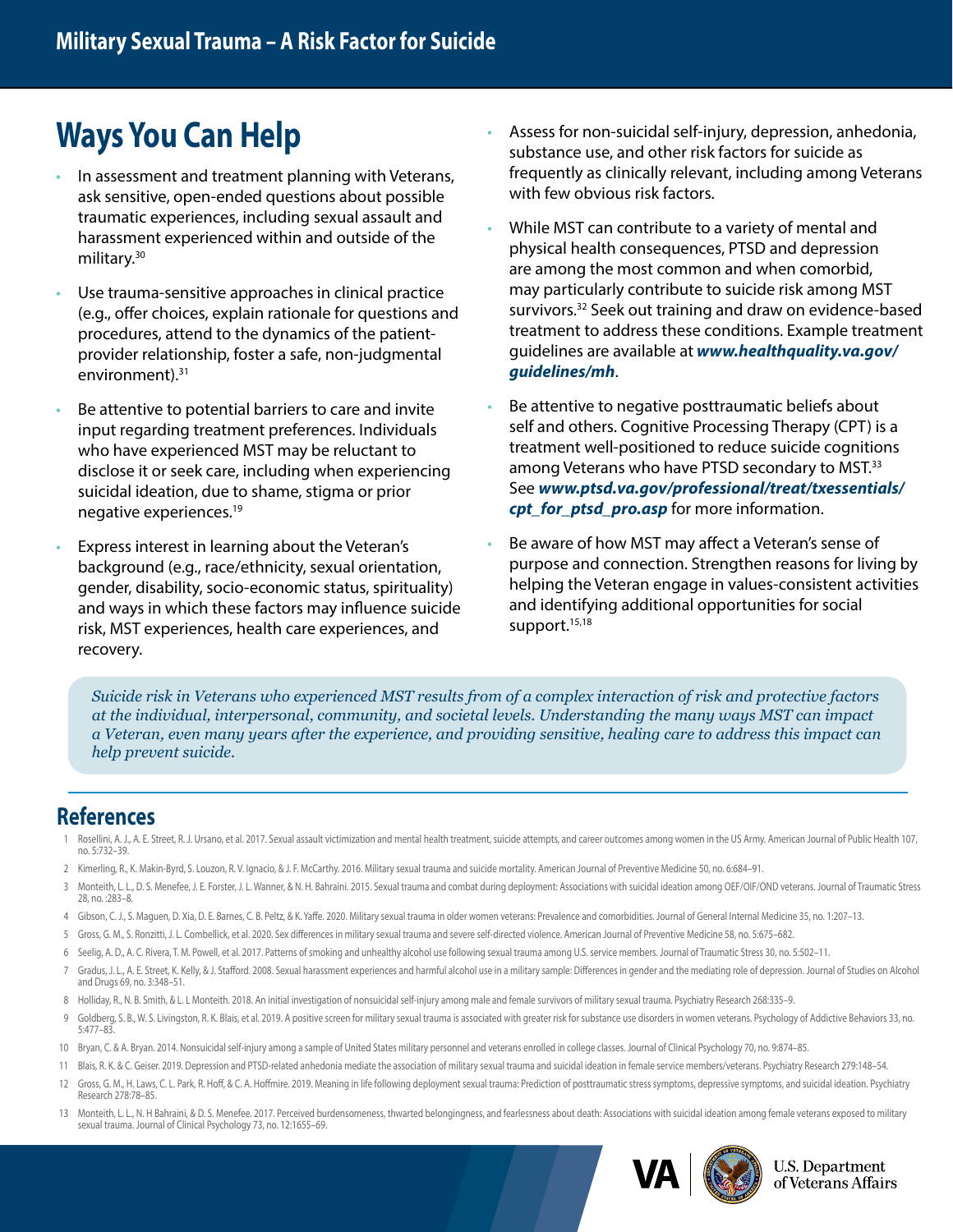## **Ways You Can Help**

- In assessment and treatment planning with Veterans, ask sensitive, open-ended questions about possible traumatic experiences, including sexual assault and harassment experienced within and outside of the military.30
- Use trauma-sensitive approaches in clinical practice (e.g., offer choices, explain rationale for questions and procedures, attend to the dynamics of the patientprovider relationship, foster a safe, non-judgmental environment).<sup>31</sup>
- Be attentive to potential barriers to care and invite input regarding treatment preferences. Individuals who have experienced MST may be reluctant to disclose it or seek care, including when experiencing suicidal ideation, due to shame, stigma or prior negative experiences.19
- Express interest in learning about the Veteran's background (e.g., race/ethnicity, sexual orientation, gender, disability, socio-economic status, spirituality) and ways in which these factors may influence suicide risk, MST experiences, health care experiences, and recovery.
- Assess for non-suicidal self-injury, depression, anhedonia, substance use, and other risk factors for suicide as frequently as clinically relevant, including among Veterans with few obvious risk factors.
- While MST can contribute to a variety of mental and physical health consequences, PTSD and depression are among the most common and when comorbid, may particularly contribute to suicide risk among MST survivors.<sup>32</sup> Seek out training and draw on evidence-based treatment to address these conditions. Example treatment guidelines are available at *[www.healthquality.va.gov/](https://www.healthquality.va.gov/guidelines/mh/) [guidelines/mh](https://www.healthquality.va.gov/guidelines/mh/)*.
- Be attentive to negative posttraumatic beliefs about self and others. Cognitive Processing Therapy (CPT) is a treatment well-positioned to reduce suicide cognitions among Veterans who have PTSD secondary to MST.<sup>33</sup> See *[www.ptsd.va.gov/professional/treat/txessentials/](http://www.ptsd.va.gov/professional/treat/txessentials/cpt_for_ptsd_pro.asp) cpt for ptsd pro.asp* for more information.
- Be aware of how MST may affect a Veteran's sense of purpose and connection. Strengthen reasons for living by helping the Veteran engage in values-consistent activities and identifying additional opportunities for social support.<sup>15,18</sup>

*Suicide risk in Veterans who experienced MST results from of a complex interaction of risk and protective factors at the individual, interpersonal, community, and societal levels. Understanding the many ways MST can impact a Veteran, even many years after the experience, and providing sensitive, healing care to address this impact can help prevent suicide.*

#### **References**

- Rosellini, A. J., A. E. Street, R. J. Ursano, et al. 2017. Sexual assault victimization and mental health treatment, suicide attempts, and career outcomes among women in the US Army. American Journal of Public Health 107, no. 5:732–39.
- 2 Kimerling, R., K. Makin-Byrd, S. Louzon, R. V. Ignacio, & J. F. McCarthy. 2016. Military sexual trauma and suicide mortality. American Journal of Preventive Medicine 50, no. 6:684–91.
- 3 Monteith, L. L., D. S. Menefee, J. E. Forster, J. L. Wanner, & N. H. Bahraini. 2015. Sexual trauma and combat during deployment: Associations with suicidal ideation among OEF/OIF/OND veterans. Journal of Traumatic Stress 28, no. :283–8.
- 4 Gibson, C. J., S. Maguen, D. Xia, D. E. Barnes, C. B. Peltz, & K. Yaffe. 2020. Military sexual trauma in older women veterans: Prevalence and comorbidities. Journal of General Internal Medicine 35, no. 1:207–13.
- 5 Gross, G. M., S. Ronzitti, J. L. Combellick, et al. 2020. Sex differences in military sexual trauma and severe self-directed violence. American Journal of Preventive Medicine 58, no. 5:675–682.
- 6 Seelig, A. D., A. C. Rivera, T. M. Powell, et al. 2017. Patterns of smoking and unhealthy alcohol use following sexual trauma among U.S. service members. Journal of Traumatic Stress 30, no. 5:502–11.
- 7 Gradus, J. L., A. E. Street, K. Kelly, & J. Stafford. 2008. Sexual harassment experiences and harmful alcohol use in a military sample: Differences in gender and the mediating role of depression. Journal of Studies on Al and Drugs 69, no. 3:348–51.
- 8 Holliday, R., N. B. Smith, & L. L Monteith. 2018. An initial investigation of nonsuicidal self-injury among male and female survivors of military sexual trauma. Psychiatry Research 268:335–9.
- 9 Goldberg, S. B., W. S. Livingston, R. K. Blais, et al. 2019. A positive screen for military sexual trauma is associated with greater risk for substance use disorders in women veterans. Psychology of Addictive Behaviors 3 5:477–83.
- 10 Bryan, C. & A. Bryan. 2014. Nonsuicidal self-injury among a sample of United States military personnel and veterans enrolled in college classes. Journal of Clinical Psychology 70, no. 9:874–85.
- 11 Blais, R. K. & C. Geiser. 2019. Depression and PTSD-related anhedonia mediate the association of military sexual trauma and suicidal ideation in female service members/veterans. Psychiatry Research 279:148–54.
- 12 Gross, G. M., H. Laws, C. L. Park, R. Hoff, & C. A. Hoffmire. 2019. Meaning in life following deployment sexual trauma: Prediction of posttraumatic stress symptoms, depressive symptoms, and suicidal ideation. Psychiatry Research 278:78–85.
- 13 Monteith, L. L., N. H Bahraini, & D. S. Menefee. 2017. Perceived burdensomeness, thwarted belongingness, and fearlessness about death: Associations with suicidal ideation among female veterans exposed to military sexual trauma. Journal of Clinical Psychology 73, no. 12:1655–69.